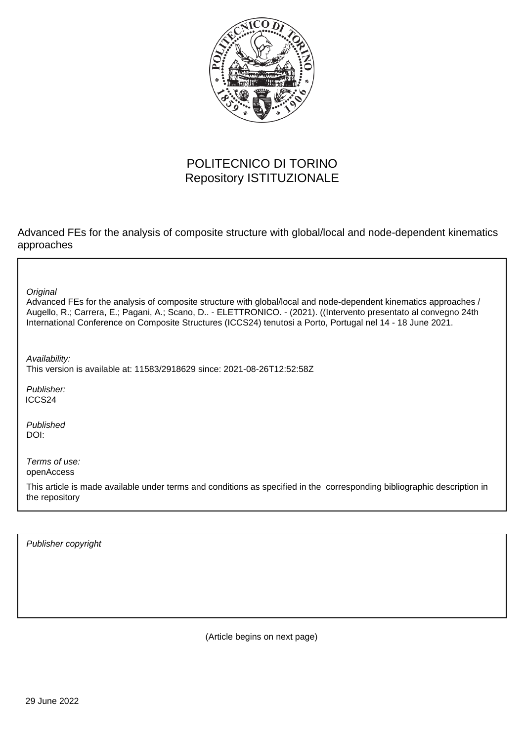

## POLITECNICO DI TORINO Repository ISTITUZIONALE

Advanced FEs for the analysis of composite structure with global/local and node-dependent kinematics approaches

**Original** 

Advanced FEs for the analysis of composite structure with global/local and node-dependent kinematics approaches / Augello, R.; Carrera, E.; Pagani, A.; Scano, D.. - ELETTRONICO. - (2021). ((Intervento presentato al convegno 24th International Conference on Composite Structures (ICCS24) tenutosi a Porto, Portugal nel 14 - 18 June 2021.

Availability: This version is available at: 11583/2918629 since: 2021-08-26T12:52:58Z

Publisher: ICCS24

Published DOI:

Terms of use: openAccess

This article is made available under terms and conditions as specified in the corresponding bibliographic description in the repository

Publisher copyright

(Article begins on next page)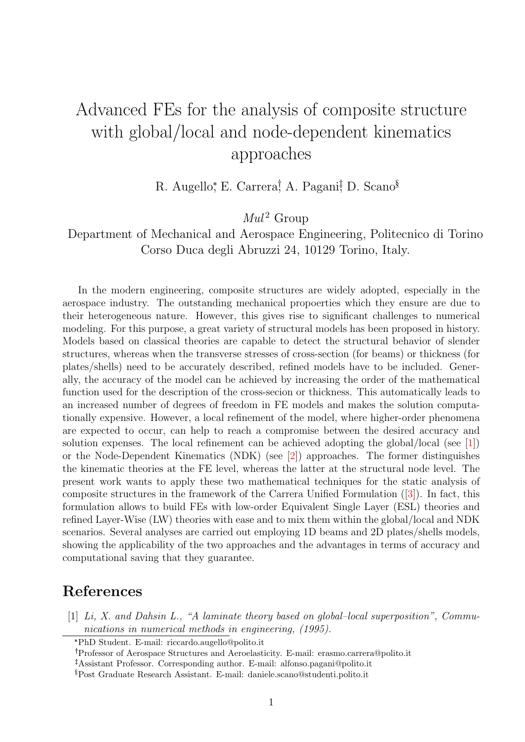## Advanced FEs for the analysis of composite structure with global/local and node-dependent kinematics approaches

R. Augello,\* E. Carrera,† A. Pagani,† D. Scano<sup>§</sup>

 $Mul^2$  Group

Department of Mechanical and Aerospace Engineering, Politecnico di Torino Corso Duca degli Abruzzi 24, 10129 Torino, Italy.

In the modern engineering, composite structures are widely adopted, especially in the aerospace industry. The outstanding mechanical propoerties which they ensure are due to their heterogeneous nature. However, this gives rise to significant challenges to numerical modeling. For this purpose, a great variety of structural models has been proposed in history. Models based on classical theories are capable to detect the structural behavior of slender structures, whereas when the transverse stresses of cross-section (for beams) or thickness (for plates/shells) need to be accurately described, refined models have to be included. Generally, the accuracy of the model can be achieved by increasing the order of the mathematical function used for the description of the cross-secion or thickness. This automatically leads to an increased number of degrees of freedom in FE models and makes the solution computationally expensive. However, a local refinement of the model, where higher-order phenomena are expected to occur, can help to reach a compromise between the desired accuracy and solution expenses. The local refinement can be achieved adopting the global/local (see [1]) or the Node-Dependent Kinematics (NDK) (see [2]) approaches. The former distinguishes the kinematic theories at the FE level, whereas the latter at the structural node level. The present work wants to apply these two mathematical techniques for the static analysis of composite structures in the framework of the Carrera Unified Formulation ([3]). In fact, this formulation allows to build FEs with low-order Equivalent Single Layer (ESL) theories and refined Layer-Wise (LW) theories with ease and to mix them within the global/local and NDK scenarios. Several analyses are carried out employing 1D beams and 2D plates/shells models, showing the applicability of the two approaches and the advantages in terms of accuracy and computational saving that they guarantee.

## References

[1] Li, X. and Dahsin L., "A laminate theory based on global-local superposition", Communications in numerical methods in engineering, (1995).

<sup>\*</sup>PhD Student. E-mail: riccardo.augello@polito.it

Professor of Aerospace Structures and Aeroelasticity. E-mail: erasmo.carrera@polito.it

Assistant Professor. Corresponding author. E-mail: alfonso.pagani@polito.it

<sup>§</sup>Post Graduate Research Assistant. E-mail: daniele.scano@studenti.polito.it